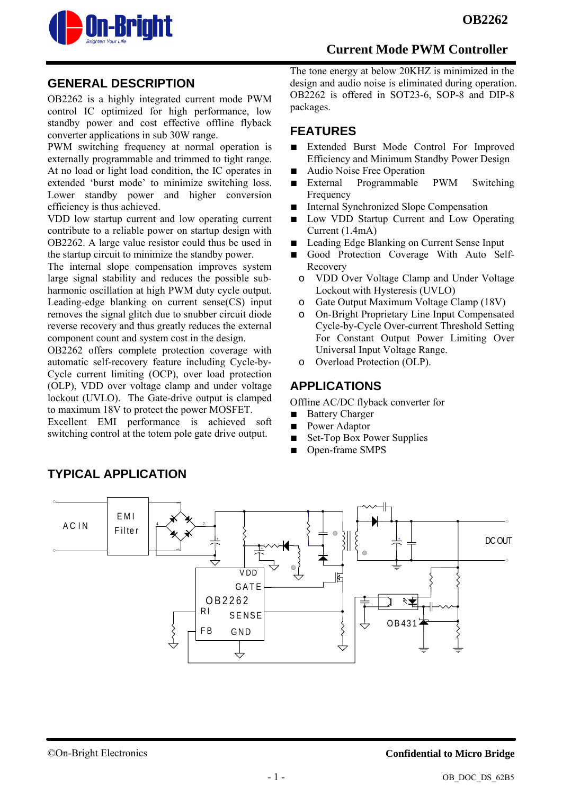

#### **GENERAL DESCRIPTION**

OB2262 is a highly integrated current mode PWM control IC optimized for high performance, low standby power and cost effective offline flyback converter applications in sub 30W range.

PWM switching frequency at normal operation is externally programmable and trimmed to tight range. At no load or light load condition, the IC operates in extended 'burst mode' to minimize switching loss. Lower standby power and higher conversion efficiency is thus achieved.

VDD low startup current and low operating current contribute to a reliable power on startup design with OB2262. A large value resistor could thus be used in the startup circuit to minimize the standby power.

The internal slope compensation improves system large signal stability and reduces the possible subharmonic oscillation at high PWM duty cycle output. Leading-edge blanking on current sense(CS) input removes the signal glitch due to snubber circuit diode reverse recovery and thus greatly reduces the external component count and system cost in the design.

OB2262 offers complete protection coverage with automatic self-recovery feature including Cycle-by-Cycle current limiting (OCP), over load protection (OLP), VDD over voltage clamp and under voltage lockout (UVLO). The Gate-drive output is clamped to maximum 18V to protect the power MOSFET.

Excellent EMI performance is achieved soft switching control at the totem pole gate drive output.

The tone energy at below 20KHZ is minimized in the design and audio noise is eliminated during operation. OB2262 is offered in SOT23-6, SOP-8 and DIP-8 packages.

### **FEATURES**

- Extended Burst Mode Control For Improved Efficiency and Minimum Standby Power Design
- Audio Noise Free Operation
- External Programmable PWM Switching Frequency
- Internal Synchronized Slope Compensation
- Low VDD Startup Current and Low Operating Current (1.4mA)
- Leading Edge Blanking on Current Sense Input
- Good Protection Coverage With Auto Self-Recovery
	- o VDD Over Voltage Clamp and Under Voltage Lockout with Hysteresis (UVLO)
	- o Gate Output Maximum Voltage Clamp (18V)
	- o On-Bright Proprietary Line Input Compensated Cycle-by-Cycle Over-current Threshold Setting For Constant Output Power Limiting Over Universal Input Voltage Range.
- o Overload Protection (OLP).

## **APPLICATIONS**

Offline AC/DC flyback converter for

- Battery Charger
- Power Adaptor
- Set-Top Box Power Supplies
- Open-frame SMPS



## **TYPICAL APPLICATION**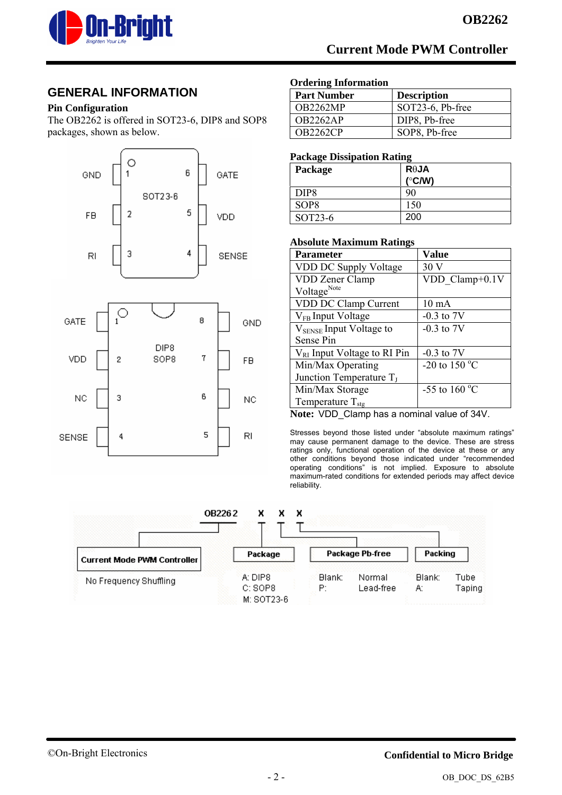

### **GENERAL INFORMATION**

#### **Pin Configuration**

The OB2262 is offered in SOT23-6, DIP8 and SOP8 packages, shown as below.



#### **Ordering Information**

| <b>Part Number</b> | <b>Description</b> |
|--------------------|--------------------|
| <b>OB2262MP</b>    | SOT23-6, Pb-free   |
| <b>OB2262AP</b>    | DIP8, Pb-free      |
| <b>OB2262CP</b>    | SOP8, Pb-free      |

#### **Package Dissipation Rating**

| Package          | $R\theta$ JA     |
|------------------|------------------|
|                  | $(^{\circ}$ C/W) |
| DIP <sub>8</sub> | 90               |
| SOP <sub>8</sub> | 150              |
| SOT23-6          | 200              |

#### **Absolute Maximum Ratings**

| <b>Parameter</b>                    | Value                     |  |  |
|-------------------------------------|---------------------------|--|--|
| VDD DC Supply Voltage               | 30 V                      |  |  |
| <b>VDD Zener Clamp</b>              | $VDD$ Clamp+0.1V          |  |  |
| Voltage <sup>Note</sup>             |                           |  |  |
| VDD DC Clamp Current                | $10 \text{ mA}$           |  |  |
| V <sub>FB</sub> Input Voltage       | $-0.3$ to $7V$            |  |  |
| V <sub>SENSE</sub> Input Voltage to | $-0.3$ to $7V$            |  |  |
| Sense Pin                           |                           |  |  |
| $V_{RI}$ Input Voltage to RI Pin    | $-0.3$ to $7V$            |  |  |
| Min/Max Operating                   | -20 to 150 $\mathrm{^oC}$ |  |  |
| Junction Temperature $T_I$          |                           |  |  |
| Min/Max Storage                     | -55 to 160 $^{\circ}$ C   |  |  |
| Temperature $T_{\text{stg}}$        |                           |  |  |

**Note:** VDD\_Clamp has a nominal value of 34V.

Stresses beyond those listed under "absolute maximum ratings" may cause permanent damage to the device. These are stress ratings only, functional operation of the device at these or any other conditions beyond those indicated under "recommended operating conditions" is not implied. Exposure to absolute maximum-rated conditions for extended periods may affect device reliability.

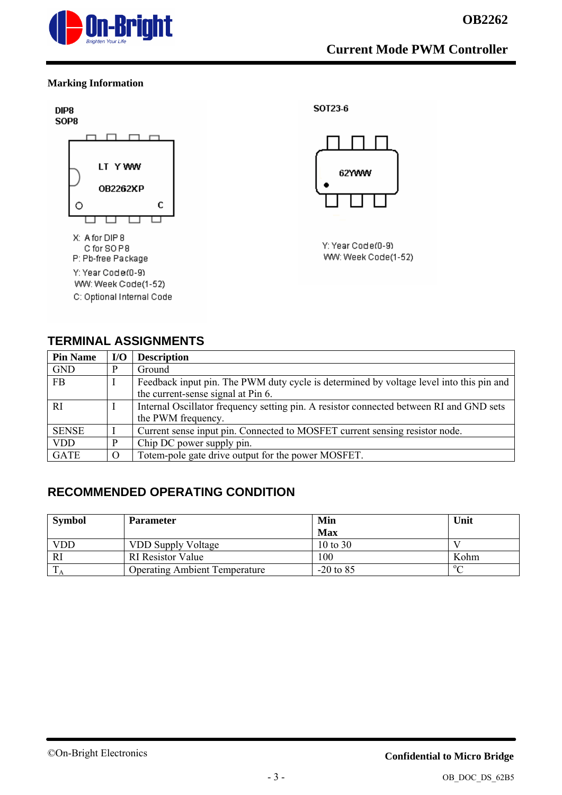

#### **Marking Information**



#### **TERMINAL ASSIGNMENTS**

| <b>Pin Name</b> | I/O      | <b>Description</b>                                                                      |
|-----------------|----------|-----------------------------------------------------------------------------------------|
| <b>GND</b>      | D        | Ground                                                                                  |
| <b>FB</b>       |          | Feedback input pin. The PWM duty cycle is determined by voltage level into this pin and |
|                 |          | the current-sense signal at Pin 6.                                                      |
| <b>RI</b>       |          | Internal Oscillator frequency setting pin. A resistor connected between RI and GND sets |
|                 |          | the PWM frequency.                                                                      |
| <b>SENSE</b>    |          | Current sense input pin. Connected to MOSFET current sensing resistor node.             |
| <b>VDD</b>      | p        | Chip DC power supply pin.                                                               |
| <b>GATE</b>     | $\Omega$ | Totem-pole gate drive output for the power MOSFET.                                      |

## **RECOMMENDED OPERATING CONDITION**

| <b>Symbol</b> | <b>Parameter</b>                     | Min         | Unit      |
|---------------|--------------------------------------|-------------|-----------|
|               |                                      | <b>Max</b>  |           |
| <b>VDD</b>    | <b>VDD Supply Voltage</b>            | 10 to 30    |           |
| <b>RI</b>     | <b>RI</b> Resistor Value             | 100         | Kohm      |
|               | <b>Operating Ambient Temperature</b> | $-20$ to 85 | $0\Omega$ |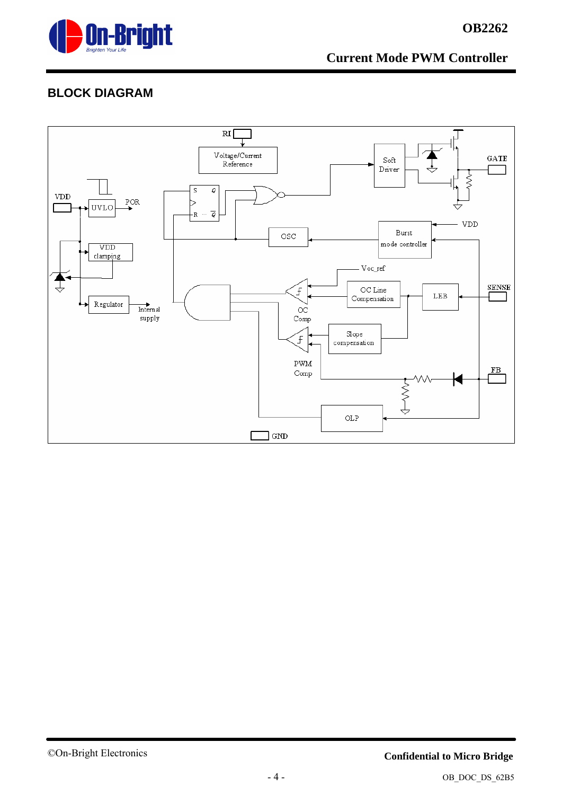

# **OB2262**

# **BLOCK DIAGRAM**



#### ©On-Bright Electronics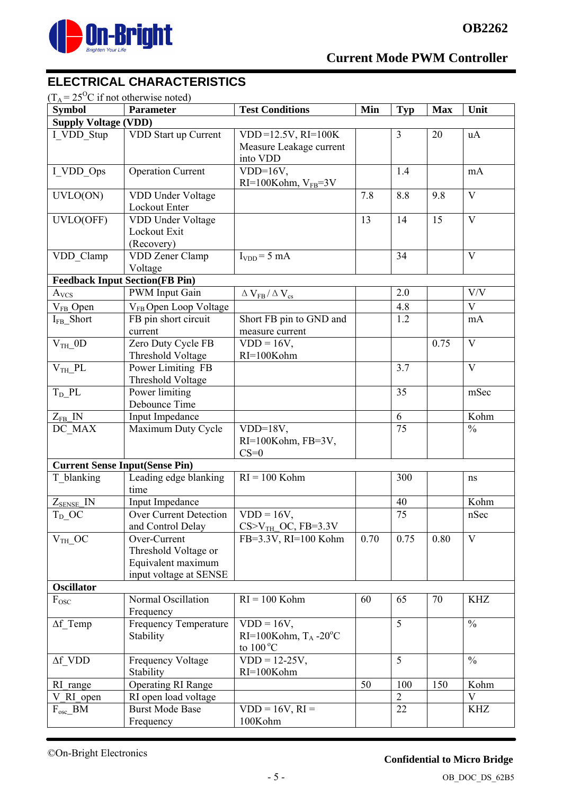

# **ELECTRICAL CHARACTERISTICS**

|  | $(T_A = 25^{\circ}\text{C} \text{ if not otherwise noted})$ |
|--|-------------------------------------------------------------|
|--|-------------------------------------------------------------|

| <b>Symbol</b>                         | <b>Parameter</b>                                                                     | <b>Test Conditions</b>                                           | Min  | <b>Typ</b>     | <b>Max</b> | Unit                    |
|---------------------------------------|--------------------------------------------------------------------------------------|------------------------------------------------------------------|------|----------------|------------|-------------------------|
| <b>Supply Voltage (VDD)</b>           |                                                                                      |                                                                  |      |                |            |                         |
| I VDD Stup                            | VDD Start up Current                                                                 | $VDD = 12.5V$ , RI=100K<br>Measure Leakage current<br>into VDD   |      | $\overline{3}$ | 20         | uA                      |
| I VDD Ops                             | <b>Operation Current</b>                                                             | $VDD=16V$ ,<br>$RI=100Kohm, VFB=3V$                              |      | 1.4            |            | mA                      |
| UVLO(ON)                              | VDD Under Voltage<br>Lockout Enter                                                   |                                                                  | 7.8  | 8.8            | 9.8        | $\mathbf{V}$            |
| UVLO(OFF)                             | VDD Under Voltage<br>Lockout Exit<br>(Recovery)                                      |                                                                  | 13   | 14             | 15         | $\overline{\mathbf{V}}$ |
| VDD_Clamp                             | VDD Zener Clamp<br>Voltage                                                           | $I_{VDD} = 5$ mA                                                 |      | 34             |            | $\mathbf{V}$            |
|                                       | <b>Feedback Input Section(FB Pin)</b>                                                |                                                                  |      |                |            |                         |
| $A_{VCS}$                             | <b>PWM</b> Input Gain                                                                | $\Delta$ $V_{FB}$ / $\Delta$ $V_{cs}$                            |      | 2.0            |            | $\mathrm{V}/\mathrm{V}$ |
| $V_{FB}$ Open                         | V <sub>FB</sub> Open Loop Voltage                                                    |                                                                  |      | 4.8            |            | $\mathbf V$             |
| I <sub>FB</sub> _Short                | FB pin short circuit<br>current                                                      | Short FB pin to GND and<br>measure current                       |      | 1.2            |            | mA                      |
| $VTH$ 0D                              | Zero Duty Cycle FB<br>Threshold Voltage                                              | $\overline{V}DD = 16V,$<br>RI=100Kohm                            |      |                | 0.75       | V                       |
| $VTH$ PL                              | Power Limiting FB<br>Threshold Voltage                                               |                                                                  |      | 3.7            |            | $\mathbf{V}$            |
| $T_D$ <sub>PL</sub>                   | Power limiting<br>Debounce Time                                                      |                                                                  |      | 35             |            | mSec                    |
| $Z_{FB}$ IN                           | Input Impedance                                                                      |                                                                  |      | 6              |            | Kohm                    |
| DC MAX                                | Maximum Duty Cycle                                                                   | $VDD=18V,$<br>RI=100Kohm, FB=3V,<br>$CS=0$                       |      | 75             |            | $\frac{0}{0}$           |
| <b>Current Sense Input(Sense Pin)</b> |                                                                                      |                                                                  |      |                |            |                         |
| T blanking                            | Leading edge blanking<br>time                                                        | $RI = 100$ Kohm                                                  |      | 300            |            | ns                      |
| $Z_{\text{SENSE}}$ IN                 | Input Impedance                                                                      |                                                                  |      | 40             |            | Kohm                    |
| $T_D$ <sup>OC</sup>                   | Over Current Detection<br>and Control Delay                                          | $VDD = 16V$ ,<br>$CS > V_{TH}$ OC, FB=3.3V                       |      | 75             |            | nSec                    |
| $VTH$ OC                              | Over-Current<br>Threshold Voltage or<br>Equivalent maximum<br>input voltage at SENSE | FB=3.3V, RI=100 Kohm                                             | 0.70 | 0.75           | 0.80       | V                       |
| <b>Oscillator</b>                     |                                                                                      |                                                                  |      |                |            |                         |
| $\rm F_{\rm OSC}$                     | Normal Oscillation<br>Frequency                                                      | $RI = 100$ Kohm                                                  | 60   | 65             | 70         | KHZ                     |
| $\Delta f$ Temp                       | <b>Frequency Temperature</b><br>Stability                                            | $VDD = 16V$ ,<br>RI=100Kohm, $T_A - 20$ °C<br>to $100^{\circ}$ C |      | 5              |            | $\frac{0}{0}$           |
| $\Delta f$ VDD                        | <b>Frequency Voltage</b><br>Stability                                                | $VDD = 12-25V,$<br>RI=100Kohm                                    |      | 5              |            | $\frac{0}{0}$           |
| RI range                              | <b>Operating RI Range</b>                                                            |                                                                  | 50   | 100            | 150        | Kohm                    |
| V RI open                             | RI open load voltage                                                                 |                                                                  |      | $\overline{2}$ |            | V                       |
| $F_{osc}$ $BM$                        | <b>Burst Mode Base</b><br>Frequency                                                  | $VDD = 16V, RI =$<br>100Kohm                                     |      | 22             |            | KHZ                     |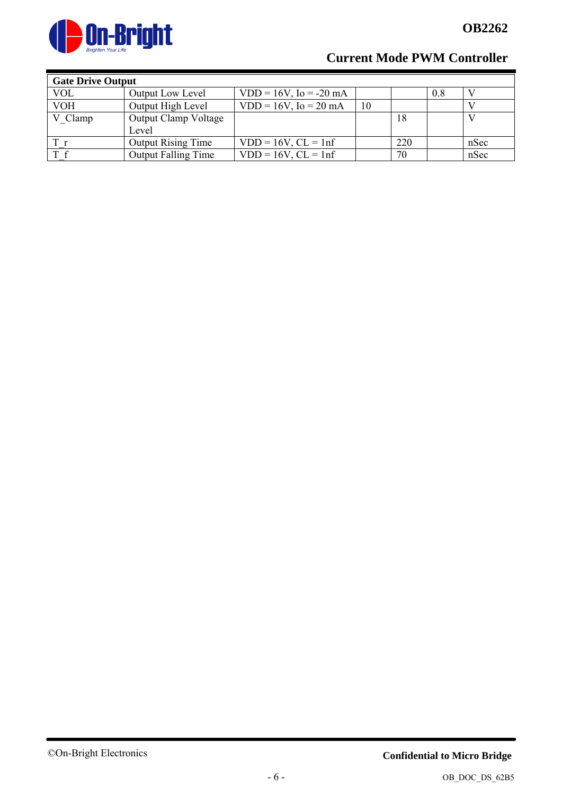

| <b>Gate Drive Output</b> |                             |                             |    |     |     |      |
|--------------------------|-----------------------------|-----------------------------|----|-----|-----|------|
| <b>VOL</b>               | <b>Output Low Level</b>     | $VDD = 16V$ , $Io = -20 mA$ |    |     | 0.8 |      |
| <b>VOH</b>               | Output High Level           | $VDD = 16V$ , $I_0 = 20$ mA | 10 |     |     |      |
| V Clamp                  | <b>Output Clamp Voltage</b> |                             |    | 18  |     |      |
|                          | Level                       |                             |    |     |     |      |
|                          | <b>Output Rising Time</b>   | $VDD = 16V$ , $CL = 1nf$    |    | 220 |     | nSec |
| T f                      | <b>Output Falling Time</b>  | $VDD = 16V$ , $CL = 1nf$    |    | 70  |     | nSec |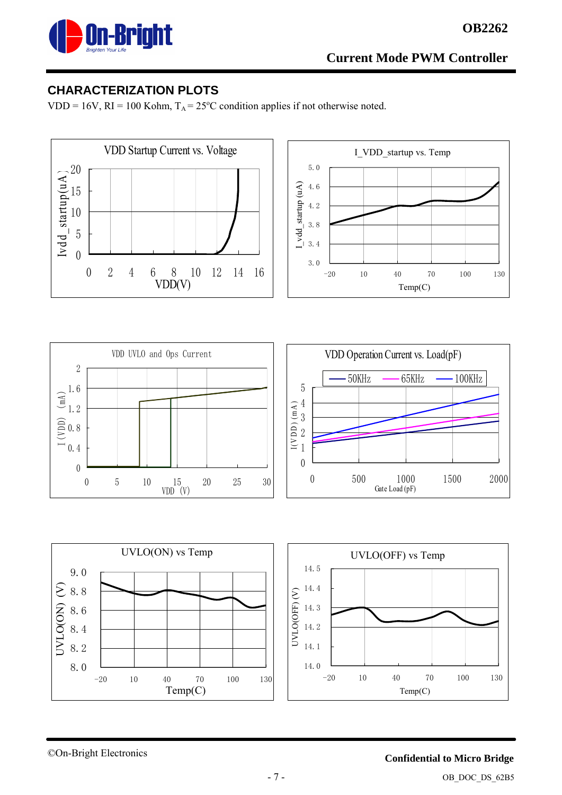

## **CHARACTERIZATION PLOTS**

VDD = 16V, RI = 100 Kohm,  $T_A = 25^{\circ}$ C condition applies if not otherwise noted.











©On-Bright Electronics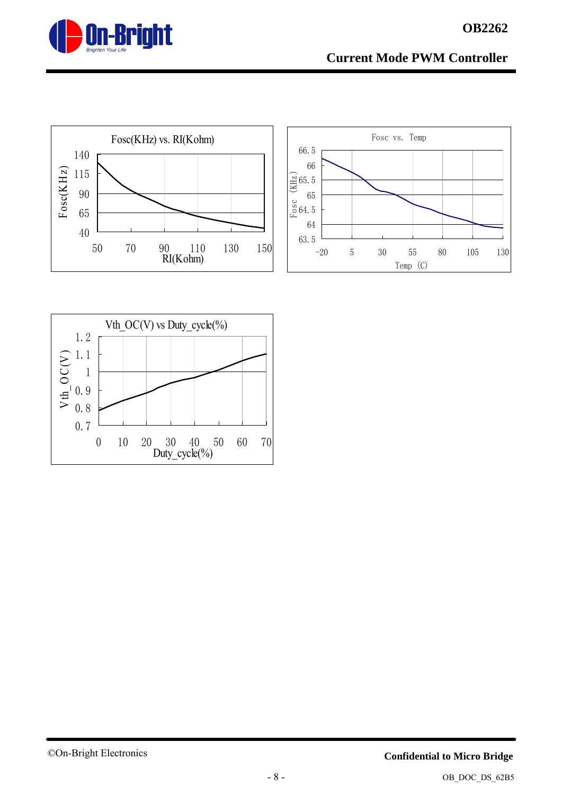







#### ©On-Bright Electronics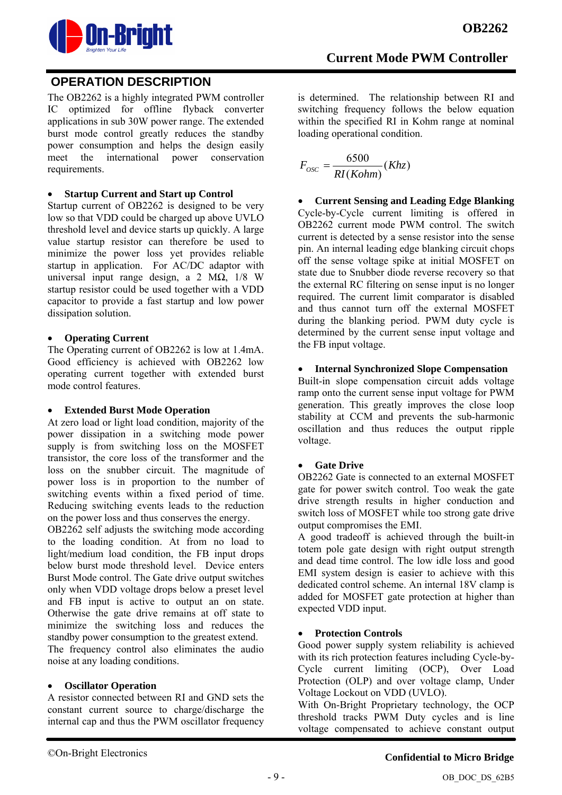

## **OPERATION DESCRIPTION**

The OB2262 is a highly integrated PWM controller IC optimized for offline flyback converter applications in sub 30W power range. The extended burst mode control greatly reduces the standby power consumption and helps the design easily meet the international power conservation requirements.

#### • **Startup Current and Start up Control**

Startup current of OB2262 is designed to be very low so that VDD could be charged up above UVLO threshold level and device starts up quickly. A large value startup resistor can therefore be used to minimize the power loss yet provides reliable startup in application. For AC/DC adaptor with universal input range design, a 2 MΩ, 1/8 W startup resistor could be used together with a VDD capacitor to provide a fast startup and low power dissipation solution.

#### • **Operating Current**

The Operating current of OB2262 is low at 1.4mA. Good efficiency is achieved with OB2262 low operating current together with extended burst mode control features.

#### • **Extended Burst Mode Operation**

At zero load or light load condition, majority of the power dissipation in a switching mode power supply is from switching loss on the MOSFET transistor, the core loss of the transformer and the loss on the snubber circuit. The magnitude of power loss is in proportion to the number of switching events within a fixed period of time. Reducing switching events leads to the reduction on the power loss and thus conserves the energy.

OB2262 self adjusts the switching mode according to the loading condition. At from no load to light/medium load condition, the FB input drops below burst mode threshold level. Device enters Burst Mode control. The Gate drive output switches only when VDD voltage drops below a preset level and FB input is active to output an on state. Otherwise the gate drive remains at off state to minimize the switching loss and reduces the standby power consumption to the greatest extend.

The frequency control also eliminates the audio noise at any loading conditions.

#### • **Oscillator Operation**

A resistor connected between RI and GND sets the constant current source to charge/discharge the internal cap and thus the PWM oscillator frequency is determined. The relationship between RI and switching frequency follows the below equation within the specified RI in Kohm range at nominal loading operational condition.

$$
F_{osc} = \frac{6500}{RI(Kohm)}(Khz)
$$

• **Current Sensing and Leading Edge Blanking**  Cycle-by-Cycle current limiting is offered in OB2262 current mode PWM control. The switch current is detected by a sense resistor into the sense pin. An internal leading edge blanking circuit chops off the sense voltage spike at initial MOSFET on state due to Snubber diode reverse recovery so that the external RC filtering on sense input is no longer required. The current limit comparator is disabled and thus cannot turn off the external MOSFET during the blanking period. PWM duty cycle is determined by the current sense input voltage and the FB input voltage.

#### • **Internal Synchronized Slope Compensation**

Built-in slope compensation circuit adds voltage ramp onto the current sense input voltage for PWM generation. This greatly improves the close loop stability at CCM and prevents the sub-harmonic oscillation and thus reduces the output ripple voltage.

#### • **Gate Drive**

OB2262 Gate is connected to an external MOSFET gate for power switch control. Too weak the gate drive strength results in higher conduction and switch loss of MOSFET while too strong gate drive output compromises the EMI.

A good tradeoff is achieved through the built-in totem pole gate design with right output strength and dead time control. The low idle loss and good EMI system design is easier to achieve with this dedicated control scheme. An internal 18V clamp is added for MOSFET gate protection at higher than expected VDD input.

#### • **Protection Controls**

Good power supply system reliability is achieved with its rich protection features including Cycle-by-Cycle current limiting (OCP), Over Load Protection (OLP) and over voltage clamp, Under Voltage Lockout on VDD (UVLO).

With On-Bright Proprietary technology, the OCP threshold tracks PWM Duty cycles and is line voltage compensated to achieve constant output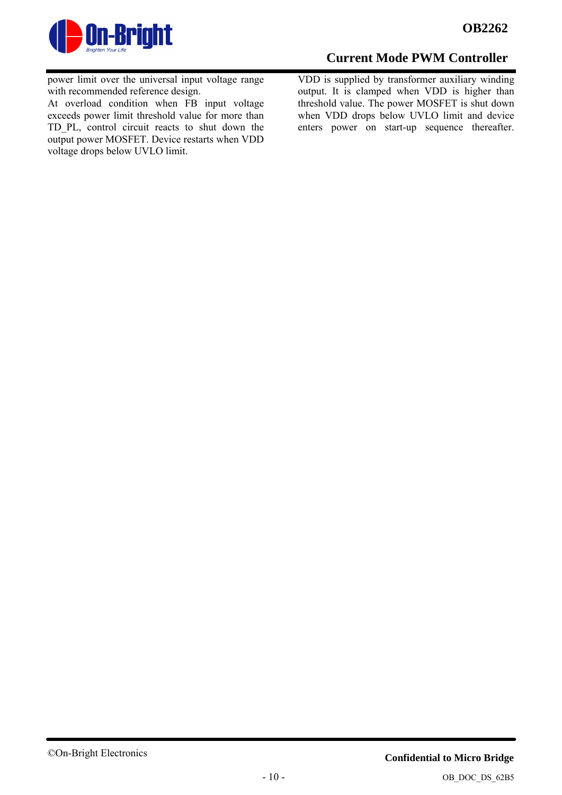

power limit over the universal input voltage range with recommended reference design.

At overload condition when FB input voltage exceeds power limit threshold value for more than TD\_PL, control circuit reacts to shut down the output power MOSFET. Device restarts when VDD voltage drops below UVLO limit.

## **Current Mode PWM Controller**

VDD is supplied by transformer auxiliary winding output. It is clamped when VDD is higher than threshold value. The power MOSFET is shut down when VDD drops below UVLO limit and device enters power on start-up sequence thereafter.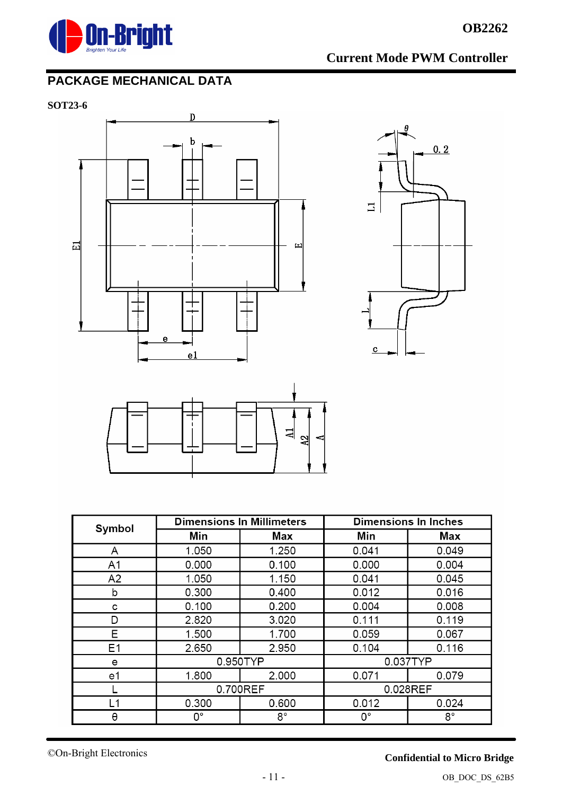

# **PACKAGE MECHANICAL DATA**

**SOT23-6** 



| Symbol         | <b>Dimensions In Millimeters</b> |          | <b>Dimensions In Inches</b> |       |  |
|----------------|----------------------------------|----------|-----------------------------|-------|--|
|                | Min                              | Max      | Min                         | Max   |  |
| A              | 1.050                            | 1.250    | 0.041                       | 0.049 |  |
| A <sub>1</sub> | 0.000                            | 0.100    | 0.000                       | 0.004 |  |
| A2             | 1.050                            | 1.150    | 0.041                       | 0.045 |  |
| b              | 0.300                            | 0.400    | 0.012                       | 0.016 |  |
| C              | 0.100                            | 0.200    | 0.004                       | 0.008 |  |
| D              | 2.820                            | 3.020    | 0.111                       | 0.119 |  |
| Е              | 1.500                            | 1.700    | 0.059                       | 0.067 |  |
| Ε1             | 2.650                            | 2.950    | 0.104                       | 0.116 |  |
| е              | 0.950TYP                         |          | 0.037TYP                    |       |  |
| e1             | 1.800                            | 2.000    | 0.071                       | 0.079 |  |
|                |                                  | 0.700REF | 0.028REF                    |       |  |
| L1             | 0.300                            | 0.600    | 0.012                       | 0.024 |  |
| θ              | 0°                               | 8°       | 0°                          | 8°    |  |

## **Confidential to Micro Bridge**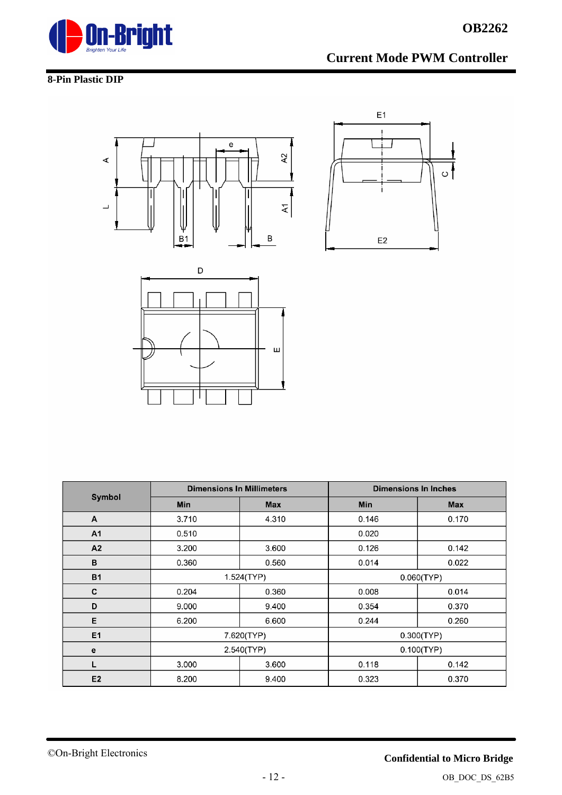

#### **8-Pin Plastic DIP**







|                | <b>Dimensions In Millimeters</b> |            | <b>Dimensions In Inches</b> |            |  |
|----------------|----------------------------------|------------|-----------------------------|------------|--|
| Symbol         | <b>Min</b>                       | <b>Max</b> | <b>Min</b>                  | <b>Max</b> |  |
| A              | 3.710                            | 4.310      | 0.146                       | 0.170      |  |
| A1             | 0.510                            |            | 0.020                       |            |  |
| A2             | 3.200                            | 3.600      | 0.126                       | 0.142      |  |
| в              | 0.360                            | 0.560      | 0.014<br>0.022              |            |  |
| <b>B1</b>      | 1.524(TYP)                       |            | 0.060(TYP)                  |            |  |
| C              | 0.204                            | 0.360      | 0.008<br>0.014              |            |  |
| D              | 9.000                            | 9.400      | 0.354<br>0.370              |            |  |
| E              | 6.200                            | 6.600      | 0.244                       | 0.260      |  |
| E <sub>1</sub> | 7.620(TYP)                       |            |                             | 0.300(TYP) |  |
| е              | 2.540(TYP)                       |            | 0.100(TYP)                  |            |  |
| L              | 3.000                            | 3.600      | 0.118                       | 0.142      |  |
| E <sub>2</sub> | 8.200                            | 9.400      | 0.323                       | 0.370      |  |